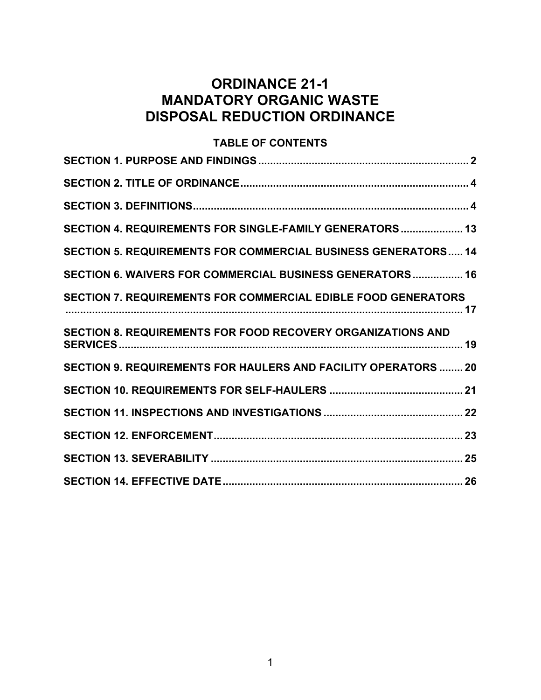# **ORDINANCE 21-1 MANDATORY ORGANIC WASTE DISPOSAL REDUCTION ORDINANCE**

## **TABLE OF CONTENTS**

| SECTION 4. REQUIREMENTS FOR SINGLE-FAMILY GENERATORS 13            |
|--------------------------------------------------------------------|
| SECTION 5. REQUIREMENTS FOR COMMERCIAL BUSINESS GENERATORS 14      |
| SECTION 6. WAIVERS FOR COMMERCIAL BUSINESS GENERATORS 16           |
| SECTION 7. REQUIREMENTS FOR COMMERCIAL EDIBLE FOOD GENERATORS      |
| <b>SECTION 8. REQUIREMENTS FOR FOOD RECOVERY ORGANIZATIONS AND</b> |
| SECTION 9. REQUIREMENTS FOR HAULERS AND FACILITY OPERATORS  20     |
|                                                                    |
|                                                                    |
|                                                                    |
|                                                                    |
|                                                                    |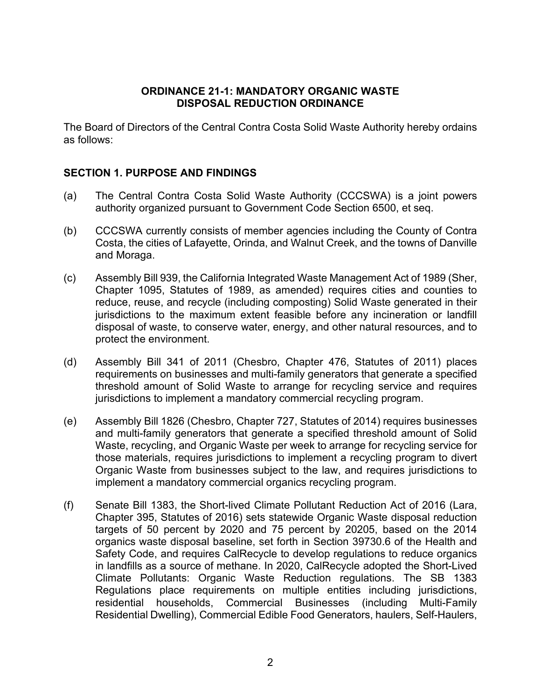#### **ORDINANCE 21-1: MANDATORY ORGANIC WASTE DISPOSAL REDUCTION ORDINANCE**

The Board of Directors of the Central Contra Costa Solid Waste Authority hereby ordains as follows:

#### <span id="page-1-0"></span>**SECTION 1. PURPOSE AND FINDINGS**

- (a) The Central Contra Costa Solid Waste Authority (CCCSWA) is a joint powers authority organized pursuant to Government Code Section 6500, et seq.
- (b) CCCSWA currently consists of member agencies including the County of Contra Costa, the cities of Lafayette, Orinda, and Walnut Creek, and the towns of Danville and Moraga.
- (c) Assembly Bill 939, the California Integrated Waste Management Act of 1989 (Sher, Chapter 1095, Statutes of 1989, as amended) requires cities and counties to reduce, reuse, and recycle (including composting) Solid Waste generated in their jurisdictions to the maximum extent feasible before any incineration or landfill disposal of waste, to conserve water, energy, and other natural resources, and to protect the environment.
- (d) Assembly Bill 341 of 2011 (Chesbro, Chapter 476, Statutes of 2011) places requirements on businesses and multi-family generators that generate a specified threshold amount of Solid Waste to arrange for recycling service and requires jurisdictions to implement a mandatory commercial recycling program.
- (e) Assembly Bill 1826 (Chesbro, Chapter 727, Statutes of 2014) requires businesses and multi-family generators that generate a specified threshold amount of Solid Waste, recycling, and Organic Waste per week to arrange for recycling service for those materials, requires jurisdictions to implement a recycling program to divert Organic Waste from businesses subject to the law, and requires jurisdictions to implement a mandatory commercial organics recycling program.
- (f) Senate Bill 1383, the Short-lived Climate Pollutant Reduction Act of 2016 (Lara, Chapter 395, Statutes of 2016) sets statewide Organic Waste disposal reduction targets of 50 percent by 2020 and 75 percent by 20205, based on the 2014 organics waste disposal baseline, set forth in Section 39730.6 of the Health and Safety Code, and requires CalRecycle to develop regulations to reduce organics in landfills as a source of methane. In 2020, CalRecycle adopted the Short-Lived Climate Pollutants: Organic Waste Reduction regulations. The SB 1383 Regulations place requirements on multiple entities including jurisdictions, residential households, Commercial Businesses (including Multi-Family Residential Dwelling), Commercial Edible Food Generators, haulers, Self-Haulers,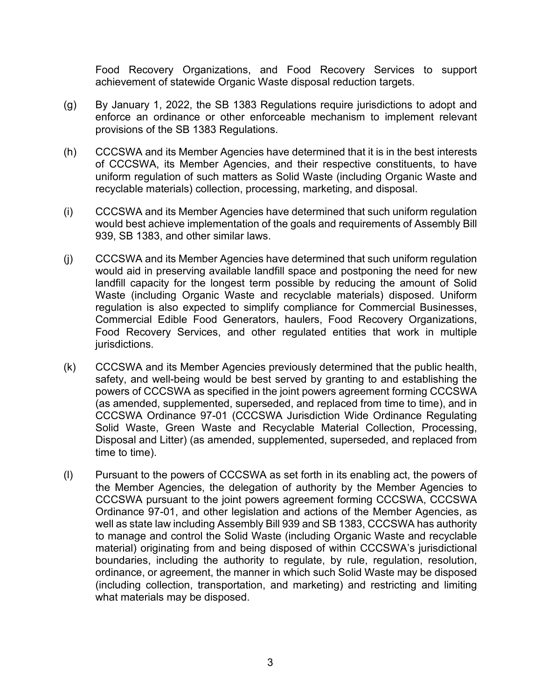Food Recovery Organizations, and Food Recovery Services to support achievement of statewide Organic Waste disposal reduction targets.

- (g) By January 1, 2022, the SB 1383 Regulations require jurisdictions to adopt and enforce an ordinance or other enforceable mechanism to implement relevant provisions of the SB 1383 Regulations.
- (h) CCCSWA and its Member Agencies have determined that it is in the best interests of CCCSWA, its Member Agencies, and their respective constituents, to have uniform regulation of such matters as Solid Waste (including Organic Waste and recyclable materials) collection, processing, marketing, and disposal.
- (i) CCCSWA and its Member Agencies have determined that such uniform regulation would best achieve implementation of the goals and requirements of Assembly Bill 939, SB 1383, and other similar laws.
- (j) CCCSWA and its Member Agencies have determined that such uniform regulation would aid in preserving available landfill space and postponing the need for new landfill capacity for the longest term possible by reducing the amount of Solid Waste (including Organic Waste and recyclable materials) disposed. Uniform regulation is also expected to simplify compliance for Commercial Businesses, Commercial Edible Food Generators, haulers, Food Recovery Organizations, Food Recovery Services, and other regulated entities that work in multiple jurisdictions.
- (k) CCCSWA and its Member Agencies previously determined that the public health, safety, and well-being would be best served by granting to and establishing the powers of CCCSWA as specified in the joint powers agreement forming CCCSWA (as amended, supplemented, superseded, and replaced from time to time), and in CCCSWA Ordinance 97-01 (CCCSWA Jurisdiction Wide Ordinance Regulating Solid Waste, Green Waste and Recyclable Material Collection, Processing, Disposal and Litter) (as amended, supplemented, superseded, and replaced from time to time).
- (l) Pursuant to the powers of CCCSWA as set forth in its enabling act, the powers of the Member Agencies, the delegation of authority by the Member Agencies to CCCSWA pursuant to the joint powers agreement forming CCCSWA, CCCSWA Ordinance 97-01, and other legislation and actions of the Member Agencies, as well as state law including Assembly Bill 939 and SB 1383, CCCSWA has authority to manage and control the Solid Waste (including Organic Waste and recyclable material) originating from and being disposed of within CCCSWA's jurisdictional boundaries, including the authority to regulate, by rule, regulation, resolution, ordinance, or agreement, the manner in which such Solid Waste may be disposed (including collection, transportation, and marketing) and restricting and limiting what materials may be disposed.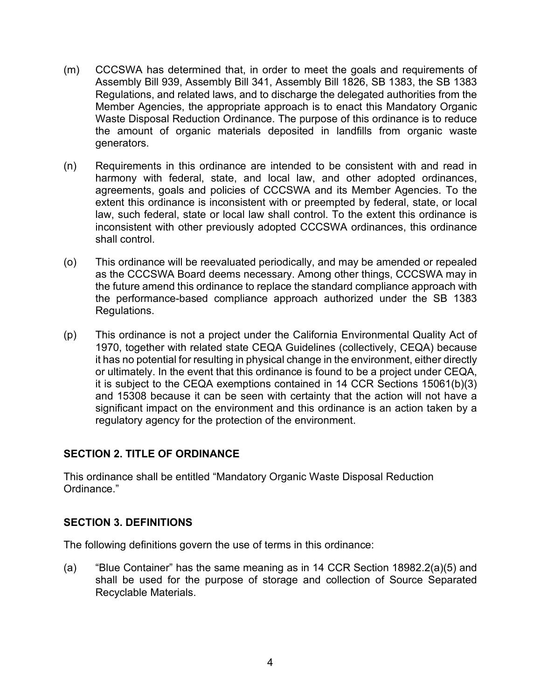- (m) CCCSWA has determined that, in order to meet the goals and requirements of Assembly Bill 939, Assembly Bill 341, Assembly Bill 1826, SB 1383, the SB 1383 Regulations, and related laws, and to discharge the delegated authorities from the Member Agencies, the appropriate approach is to enact this Mandatory Organic Waste Disposal Reduction Ordinance. The purpose of this ordinance is to reduce the amount of organic materials deposited in landfills from organic waste generators.
- (n) Requirements in this ordinance are intended to be consistent with and read in harmony with federal, state, and local law, and other adopted ordinances, agreements, goals and policies of CCCSWA and its Member Agencies. To the extent this ordinance is inconsistent with or preempted by federal, state, or local law, such federal, state or local law shall control. To the extent this ordinance is inconsistent with other previously adopted CCCSWA ordinances, this ordinance shall control.
- (o) This ordinance will be reevaluated periodically, and may be amended or repealed as the CCCSWA Board deems necessary. Among other things, CCCSWA may in the future amend this ordinance to replace the standard compliance approach with the performance-based compliance approach authorized under the SB 1383 Regulations.
- (p) This ordinance is not a project under the California Environmental Quality Act of 1970, together with related state CEQA Guidelines (collectively, CEQA) because it has no potential for resulting in physical change in the environment, either directly or ultimately. In the event that this ordinance is found to be a project under CEQA, it is subject to the CEQA exemptions contained in 14 CCR Sections 15061(b)(3) and 15308 because it can be seen with certainty that the action will not have a significant impact on the environment and this ordinance is an action taken by a regulatory agency for the protection of the environment.

## <span id="page-3-0"></span>**SECTION 2. TITLE OF ORDINANCE**

This ordinance shall be entitled "Mandatory Organic Waste Disposal Reduction Ordinance."

#### <span id="page-3-1"></span>**SECTION 3. DEFINITIONS**

The following definitions govern the use of terms in this ordinance:

(a) "Blue Container" has the same meaning as in 14 CCR Section 18982.2(a)(5) and shall be used for the purpose of storage and collection of Source Separated Recyclable Materials.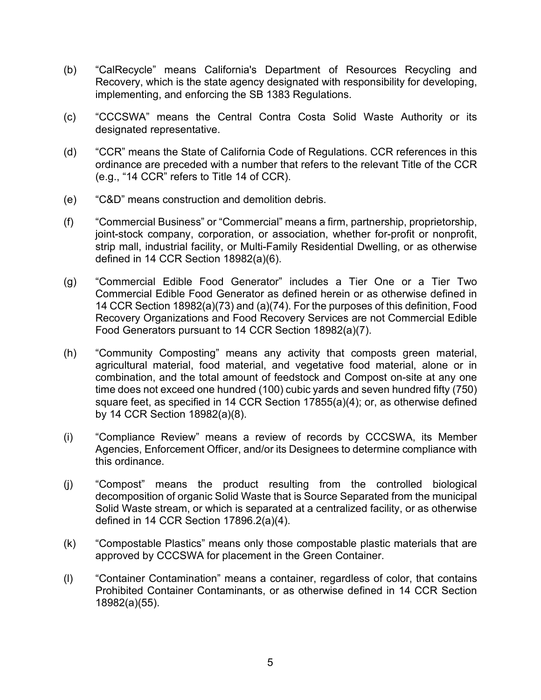- (b) "CalRecycle" means California's Department of Resources Recycling and Recovery, which is the state agency designated with responsibility for developing, implementing, and enforcing the SB 1383 Regulations.
- (c) "CCCSWA" means the Central Contra Costa Solid Waste Authority or its designated representative.
- (d) "CCR" means the State of California Code of Regulations. CCR references in this ordinance are preceded with a number that refers to the relevant Title of the CCR (e.g., "14 CCR" refers to Title 14 of CCR).
- (e) "C&D" means construction and demolition debris.
- (f) "Commercial Business" or "Commercial" means a firm, partnership, proprietorship, joint-stock company, corporation, or association, whether for-profit or nonprofit, strip mall, industrial facility, or Multi-Family Residential Dwelling, or as otherwise defined in 14 CCR Section 18982(a)(6).
- (g) "Commercial Edible Food Generator" includes a Tier One or a Tier Two Commercial Edible Food Generator as defined herein or as otherwise defined in 14 CCR Section 18982(a)(73) and (a)(74). For the purposes of this definition, Food Recovery Organizations and Food Recovery Services are not Commercial Edible Food Generators pursuant to 14 CCR Section 18982(a)(7).
- (h) "Community Composting" means any activity that composts green material, agricultural material, food material, and vegetative food material, alone or in combination, and the total amount of feedstock and Compost on-site at any one time does not exceed one hundred (100) cubic yards and seven hundred fifty (750) square feet, as specified in 14 CCR Section 17855(a)(4); or, as otherwise defined by 14 CCR Section 18982(a)(8).
- (i) "Compliance Review" means a review of records by CCCSWA, its Member Agencies, Enforcement Officer, and/or its Designees to determine compliance with this ordinance.
- (j) "Compost" means the product resulting from the controlled biological decomposition of organic Solid Waste that is Source Separated from the municipal Solid Waste stream, or which is separated at a centralized facility, or as otherwise defined in 14 CCR Section 17896.2(a)(4).
- (k) "Compostable Plastics" means only those compostable plastic materials that are approved by CCCSWA for placement in the Green Container.
- (l) "Container Contamination" means a container, regardless of color, that contains Prohibited Container Contaminants, or as otherwise defined in 14 CCR Section 18982(a)(55).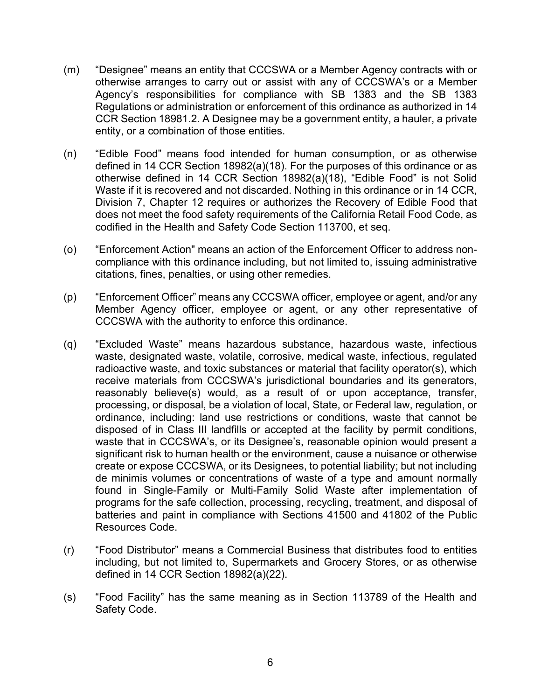- (m) "Designee" means an entity that CCCSWA or a Member Agency contracts with or otherwise arranges to carry out or assist with any of CCCSWA's or a Member Agency's responsibilities for compliance with SB 1383 and the SB 1383 Regulations or administration or enforcement of this ordinance as authorized in 14 CCR Section 18981.2. A Designee may be a government entity, a hauler, a private entity, or a combination of those entities.
- (n) "Edible Food" means food intended for human consumption, or as otherwise defined in 14 CCR Section 18982(a)(18). For the purposes of this ordinance or as otherwise defined in 14 CCR Section 18982(a)(18), "Edible Food" is not Solid Waste if it is recovered and not discarded. Nothing in this ordinance or in 14 CCR, Division 7, Chapter 12 requires or authorizes the Recovery of Edible Food that does not meet the food safety requirements of the California Retail Food Code, as codified in the Health and Safety Code Section 113700, et seq.
- (o) "Enforcement Action" means an action of the Enforcement Officer to address noncompliance with this ordinance including, but not limited to, issuing administrative citations, fines, penalties, or using other remedies.
- (p) "Enforcement Officer" means any CCCSWA officer, employee or agent, and/or any Member Agency officer, employee or agent, or any other representative of CCCSWA with the authority to enforce this ordinance.
- (q) "Excluded Waste" means hazardous substance, hazardous waste, infectious waste, designated waste, volatile, corrosive, medical waste, infectious, regulated radioactive waste, and toxic substances or material that facility operator(s), which receive materials from CCCSWA's jurisdictional boundaries and its generators, reasonably believe(s) would, as a result of or upon acceptance, transfer, processing, or disposal, be a violation of local, State, or Federal law, regulation, or ordinance, including: land use restrictions or conditions, waste that cannot be disposed of in Class III landfills or accepted at the facility by permit conditions, waste that in CCCSWA's, or its Designee's, reasonable opinion would present a significant risk to human health or the environment, cause a nuisance or otherwise create or expose CCCSWA, or its Designees, to potential liability; but not including de minimis volumes or concentrations of waste of a type and amount normally found in Single-Family or Multi-Family Solid Waste after implementation of programs for the safe collection, processing, recycling, treatment, and disposal of batteries and paint in compliance with Sections 41500 and 41802 of the Public Resources Code.
- (r) "Food Distributor" means a Commercial Business that distributes food to entities including, but not limited to, Supermarkets and Grocery Stores, or as otherwise defined in 14 CCR Section 18982(a)(22).
- (s) "Food Facility" has the same meaning as in Section 113789 of the Health and Safety Code.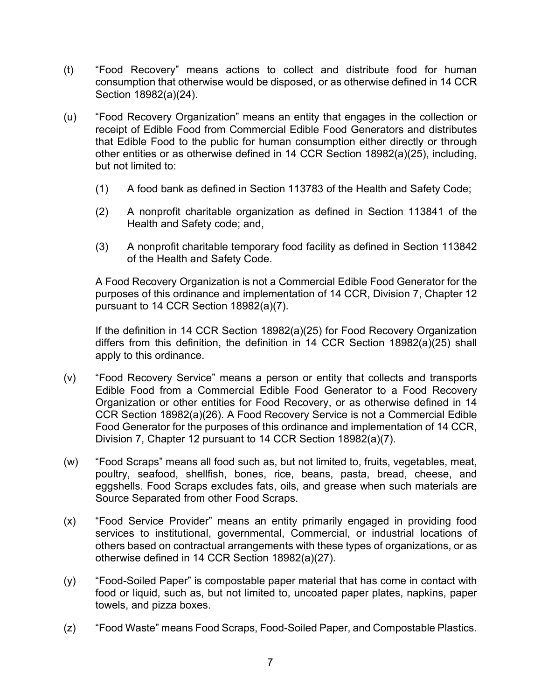- (t) "Food Recovery" means actions to collect and distribute food for human consumption that otherwise would be disposed, or as otherwise defined in 14 CCR Section 18982(a)(24).
- (u) "Food Recovery Organization" means an entity that engages in the collection or receipt of Edible Food from Commercial Edible Food Generators and distributes that Edible Food to the public for human consumption either directly or through other entities or as otherwise defined in 14 CCR Section 18982(a)(25), including, but not limited to:
	- (1) A food bank as defined in Section 113783 of the Health and Safety Code;
	- (2) A nonprofit charitable organization as defined in Section 113841 of the Health and Safety code; and,
	- (3) A nonprofit charitable temporary food facility as defined in Section 113842 of the Health and Safety Code.

A Food Recovery Organization is not a Commercial Edible Food Generator for the purposes of this ordinance and implementation of 14 CCR, Division 7, Chapter 12 pursuant to 14 CCR Section 18982(a)(7).

If the definition in 14 CCR Section 18982(a)(25) for Food Recovery Organization differs from this definition, the definition in 14 CCR Section 18982(a)(25) shall apply to this ordinance.

- (v) "Food Recovery Service" means a person or entity that collects and transports Edible Food from a Commercial Edible Food Generator to a Food Recovery Organization or other entities for Food Recovery, or as otherwise defined in 14 CCR Section 18982(a)(26). A Food Recovery Service is not a Commercial Edible Food Generator for the purposes of this ordinance and implementation of 14 CCR, Division 7, Chapter 12 pursuant to 14 CCR Section 18982(a)(7).
- (w) "Food Scraps" means all food such as, but not limited to, fruits, vegetables, meat, poultry, seafood, shellfish, bones, rice, beans, pasta, bread, cheese, and eggshells. Food Scraps excludes fats, oils, and grease when such materials are Source Separated from other Food Scraps.
- (x) "Food Service Provider" means an entity primarily engaged in providing food services to institutional, governmental, Commercial, or industrial locations of others based on contractual arrangements with these types of organizations, or as otherwise defined in 14 CCR Section 18982(a)(27).
- (y) "Food-Soiled Paper" is compostable paper material that has come in contact with food or liquid, such as, but not limited to, uncoated paper plates, napkins, paper towels, and pizza boxes.
- (z) "Food Waste" means Food Scraps, Food-Soiled Paper, and Compostable Plastics.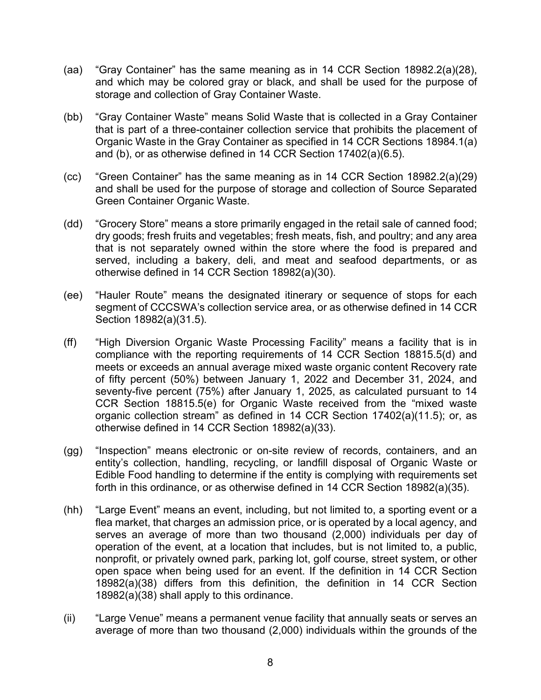- (aa) "Gray Container" has the same meaning as in 14 CCR Section 18982.2(a)(28), and which may be colored gray or black, and shall be used for the purpose of storage and collection of Gray Container Waste.
- (bb) "Gray Container Waste" means Solid Waste that is collected in a Gray Container that is part of a three-container collection service that prohibits the placement of Organic Waste in the Gray Container as specified in 14 CCR Sections 18984.1(a) and (b), or as otherwise defined in 14 CCR Section 17402(a)(6.5).
- (cc) "Green Container" has the same meaning as in 14 CCR Section 18982.2(a)(29) and shall be used for the purpose of storage and collection of Source Separated Green Container Organic Waste.
- (dd) "Grocery Store" means a store primarily engaged in the retail sale of canned food; dry goods; fresh fruits and vegetables; fresh meats, fish, and poultry; and any area that is not separately owned within the store where the food is prepared and served, including a bakery, deli, and meat and seafood departments, or as otherwise defined in 14 CCR Section 18982(a)(30).
- (ee) "Hauler Route" means the designated itinerary or sequence of stops for each segment of CCCSWA's collection service area, or as otherwise defined in 14 CCR Section 18982(a)(31.5).
- (ff) "High Diversion Organic Waste Processing Facility" means a facility that is in compliance with the reporting requirements of 14 CCR Section 18815.5(d) and meets or exceeds an annual average mixed waste organic content Recovery rate of fifty percent (50%) between January 1, 2022 and December 31, 2024, and seventy-five percent (75%) after January 1, 2025, as calculated pursuant to 14 CCR Section 18815.5(e) for Organic Waste received from the "mixed waste organic collection stream" as defined in 14 CCR Section 17402(a)(11.5); or, as otherwise defined in 14 CCR Section 18982(a)(33).
- (gg) "Inspection" means electronic or on-site review of records, containers, and an entity's collection, handling, recycling, or landfill disposal of Organic Waste or Edible Food handling to determine if the entity is complying with requirements set forth in this ordinance, or as otherwise defined in 14 CCR Section 18982(a)(35).
- (hh) "Large Event" means an event, including, but not limited to, a sporting event or a flea market, that charges an admission price, or is operated by a local agency, and serves an average of more than two thousand (2,000) individuals per day of operation of the event, at a location that includes, but is not limited to, a public, nonprofit, or privately owned park, parking lot, golf course, street system, or other open space when being used for an event. If the definition in 14 CCR Section 18982(a)(38) differs from this definition, the definition in 14 CCR Section 18982(a)(38) shall apply to this ordinance.
- (ii) "Large Venue" means a permanent venue facility that annually seats or serves an average of more than two thousand (2,000) individuals within the grounds of the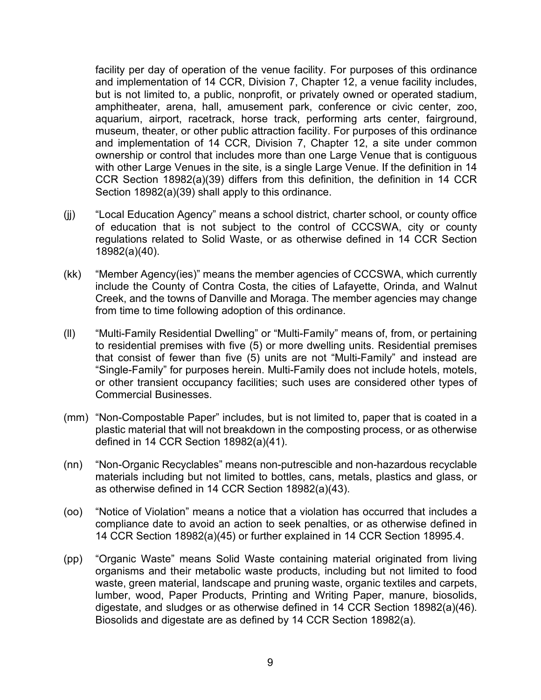facility per day of operation of the venue facility. For purposes of this ordinance and implementation of 14 CCR, Division 7, Chapter 12, a venue facility includes, but is not limited to, a public, nonprofit, or privately owned or operated stadium, amphitheater, arena, hall, amusement park, conference or civic center, zoo, aquarium, airport, racetrack, horse track, performing arts center, fairground, museum, theater, or other public attraction facility. For purposes of this ordinance and implementation of 14 CCR, Division 7, Chapter 12, a site under common ownership or control that includes more than one Large Venue that is contiguous with other Large Venues in the site, is a single Large Venue. If the definition in 14 CCR Section 18982(a)(39) differs from this definition, the definition in 14 CCR Section 18982(a)(39) shall apply to this ordinance.

- (jj) "Local Education Agency" means a school district, charter school, or county office of education that is not subject to the control of CCCSWA, city or county regulations related to Solid Waste, or as otherwise defined in 14 CCR Section 18982(a)(40).
- (kk) "Member Agency(ies)" means the member agencies of CCCSWA, which currently include the County of Contra Costa, the cities of Lafayette, Orinda, and Walnut Creek, and the towns of Danville and Moraga. The member agencies may change from time to time following adoption of this ordinance.
- (ll) "Multi-Family Residential Dwelling" or "Multi-Family" means of, from, or pertaining to residential premises with five (5) or more dwelling units. Residential premises that consist of fewer than five (5) units are not "Multi-Family" and instead are "Single-Family" for purposes herein. Multi-Family does not include hotels, motels, or other transient occupancy facilities; such uses are considered other types of Commercial Businesses.
- (mm) "Non-Compostable Paper" includes, but is not limited to, paper that is coated in a plastic material that will not breakdown in the composting process, or as otherwise defined in 14 CCR Section 18982(a)(41).
- (nn) "Non-Organic Recyclables" means non-putrescible and non-hazardous recyclable materials including but not limited to bottles, cans, metals, plastics and glass, or as otherwise defined in 14 CCR Section 18982(a)(43).
- (oo) "Notice of Violation" means a notice that a violation has occurred that includes a compliance date to avoid an action to seek penalties, or as otherwise defined in 14 CCR Section 18982(a)(45) or further explained in 14 CCR Section 18995.4.
- (pp) "Organic Waste" means Solid Waste containing material originated from living organisms and their metabolic waste products, including but not limited to food waste, green material, landscape and pruning waste, organic textiles and carpets, lumber, wood, Paper Products, Printing and Writing Paper, manure, biosolids, digestate, and sludges or as otherwise defined in 14 CCR Section 18982(a)(46). Biosolids and digestate are as defined by 14 CCR Section 18982(a).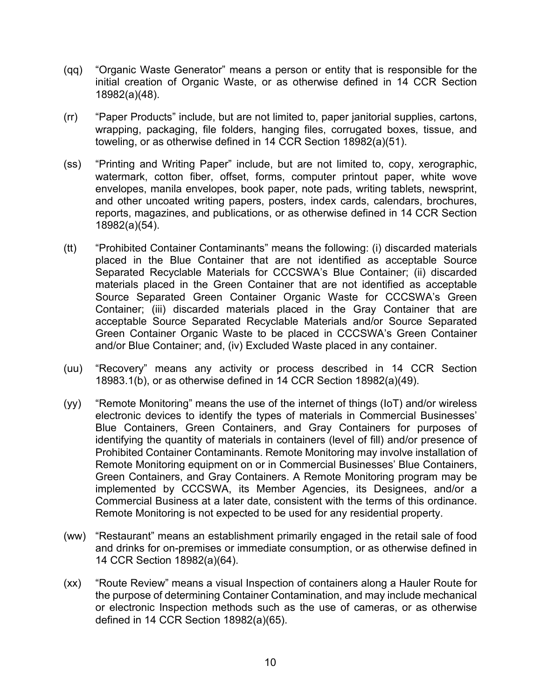- (qq) "Organic Waste Generator" means a person or entity that is responsible for the initial creation of Organic Waste, or as otherwise defined in 14 CCR Section 18982(a)(48).
- (rr) "Paper Products" include, but are not limited to, paper janitorial supplies, cartons, wrapping, packaging, file folders, hanging files, corrugated boxes, tissue, and toweling, or as otherwise defined in 14 CCR Section 18982(a)(51).
- (ss) "Printing and Writing Paper" include, but are not limited to, copy, xerographic, watermark, cotton fiber, offset, forms, computer printout paper, white wove envelopes, manila envelopes, book paper, note pads, writing tablets, newsprint, and other uncoated writing papers, posters, index cards, calendars, brochures, reports, magazines, and publications, or as otherwise defined in 14 CCR Section 18982(a)(54).
- (tt) "Prohibited Container Contaminants" means the following: (i) discarded materials placed in the Blue Container that are not identified as acceptable Source Separated Recyclable Materials for CCCSWA's Blue Container; (ii) discarded materials placed in the Green Container that are not identified as acceptable Source Separated Green Container Organic Waste for CCCSWA's Green Container; (iii) discarded materials placed in the Gray Container that are acceptable Source Separated Recyclable Materials and/or Source Separated Green Container Organic Waste to be placed in CCCSWA's Green Container and/or Blue Container; and, (iv) Excluded Waste placed in any container.
- (uu) "Recovery" means any activity or process described in 14 CCR Section 18983.1(b), or as otherwise defined in 14 CCR Section 18982(a)(49).
- (yy) "Remote Monitoring" means the use of the internet of things (IoT) and/or wireless electronic devices to identify the types of materials in Commercial Businesses' Blue Containers, Green Containers, and Gray Containers for purposes of identifying the quantity of materials in containers (level of fill) and/or presence of Prohibited Container Contaminants. Remote Monitoring may involve installation of Remote Monitoring equipment on or in Commercial Businesses' Blue Containers, Green Containers, and Gray Containers. A Remote Monitoring program may be implemented by CCCSWA, its Member Agencies, its Designees, and/or a Commercial Business at a later date, consistent with the terms of this ordinance. Remote Monitoring is not expected to be used for any residential property.
- (ww) "Restaurant" means an establishment primarily engaged in the retail sale of food and drinks for on-premises or immediate consumption, or as otherwise defined in 14 CCR Section 18982(a)(64).
- (xx) "Route Review" means a visual Inspection of containers along a Hauler Route for the purpose of determining Container Contamination, and may include mechanical or electronic Inspection methods such as the use of cameras, or as otherwise defined in 14 CCR Section 18982(a)(65).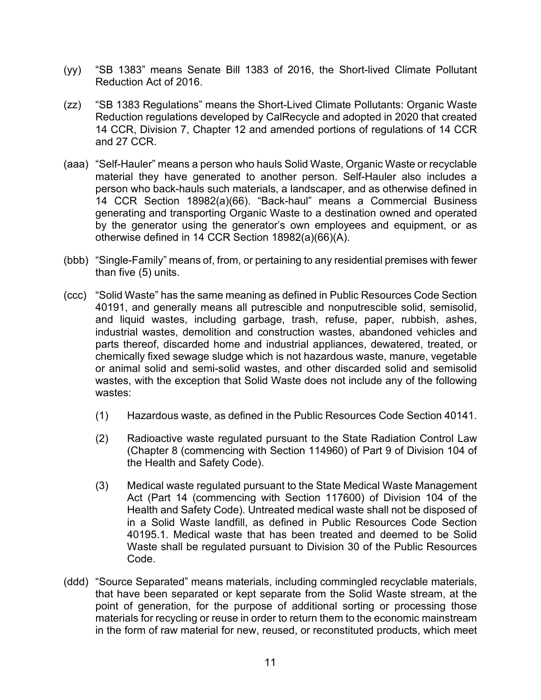- (yy) "SB 1383" means Senate Bill 1383 of 2016, the Short-lived Climate Pollutant Reduction Act of 2016.
- (zz) "SB 1383 Regulations" means the Short-Lived Climate Pollutants: Organic Waste Reduction regulations developed by CalRecycle and adopted in 2020 that created 14 CCR, Division 7, Chapter 12 and amended portions of regulations of 14 CCR and 27 CCR.
- (aaa) "Self-Hauler" means a person who hauls Solid Waste, Organic Waste or recyclable material they have generated to another person. Self-Hauler also includes a person who back-hauls such materials, a landscaper, and as otherwise defined in 14 CCR Section 18982(a)(66). "Back-haul" means a Commercial Business generating and transporting Organic Waste to a destination owned and operated by the generator using the generator's own employees and equipment, or as otherwise defined in 14 CCR Section 18982(a)(66)(A).
- (bbb) "Single-Family" means of, from, or pertaining to any residential premises with fewer than five (5) units.
- (ccc) "Solid Waste" has the same meaning as defined in Public Resources Code Section 40191, and generally means all putrescible and nonputrescible solid, semisolid, and liquid wastes, including garbage, trash, refuse, paper, rubbish, ashes, industrial wastes, demolition and construction wastes, abandoned vehicles and parts thereof, discarded home and industrial appliances, dewatered, treated, or chemically fixed sewage sludge which is not hazardous waste, manure, vegetable or animal solid and semi-solid wastes, and other discarded solid and semisolid wastes, with the exception that Solid Waste does not include any of the following wastes:
	- (1) Hazardous waste, as defined in the Public Resources Code Section 40141.
	- (2) Radioactive waste regulated pursuant to the State Radiation Control Law (Chapter 8 (commencing with Section 114960) of Part 9 of Division 104 of the Health and Safety Code).
	- (3) Medical waste regulated pursuant to the State Medical Waste Management Act (Part 14 (commencing with Section 117600) of Division 104 of the Health and Safety Code). Untreated medical waste shall not be disposed of in a Solid Waste landfill, as defined in Public Resources Code Section 40195.1. Medical waste that has been treated and deemed to be Solid Waste shall be regulated pursuant to Division 30 of the Public Resources Code.
- (ddd) "Source Separated" means materials, including commingled recyclable materials, that have been separated or kept separate from the Solid Waste stream, at the point of generation, for the purpose of additional sorting or processing those materials for recycling or reuse in order to return them to the economic mainstream in the form of raw material for new, reused, or reconstituted products, which meet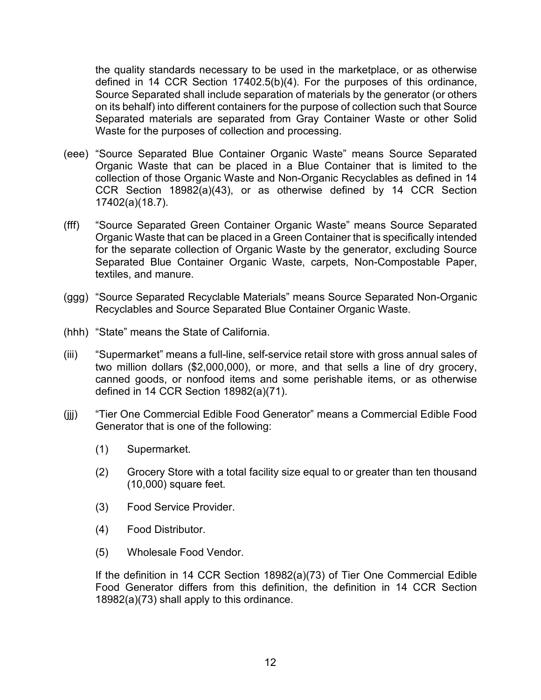the quality standards necessary to be used in the marketplace, or as otherwise defined in 14 CCR Section 17402.5(b)(4). For the purposes of this ordinance, Source Separated shall include separation of materials by the generator (or others on its behalf) into different containers for the purpose of collection such that Source Separated materials are separated from Gray Container Waste or other Solid Waste for the purposes of collection and processing.

- (eee) "Source Separated Blue Container Organic Waste" means Source Separated Organic Waste that can be placed in a Blue Container that is limited to the collection of those Organic Waste and Non-Organic Recyclables as defined in 14 CCR Section 18982(a)(43), or as otherwise defined by 14 CCR Section 17402(a)(18.7).
- (fff) "Source Separated Green Container Organic Waste" means Source Separated Organic Waste that can be placed in a Green Container that is specifically intended for the separate collection of Organic Waste by the generator, excluding Source Separated Blue Container Organic Waste, carpets, Non-Compostable Paper, textiles, and manure.
- (ggg) "Source Separated Recyclable Materials" means Source Separated Non-Organic Recyclables and Source Separated Blue Container Organic Waste.
- (hhh) "State" means the State of California.
- (iii) "Supermarket" means a full-line, self-service retail store with gross annual sales of two million dollars (\$2,000,000), or more, and that sells a line of dry grocery, canned goods, or nonfood items and some perishable items, or as otherwise defined in 14 CCR Section 18982(a)(71).
- (jjj) "Tier One Commercial Edible Food Generator" means a Commercial Edible Food Generator that is one of the following:
	- (1) Supermarket.
	- (2) Grocery Store with a total facility size equal to or greater than ten thousand (10,000) square feet.
	- (3) Food Service Provider.
	- (4) Food Distributor.
	- (5) Wholesale Food Vendor.

If the definition in 14 CCR Section 18982(a)(73) of Tier One Commercial Edible Food Generator differs from this definition, the definition in 14 CCR Section 18982(a)(73) shall apply to this ordinance.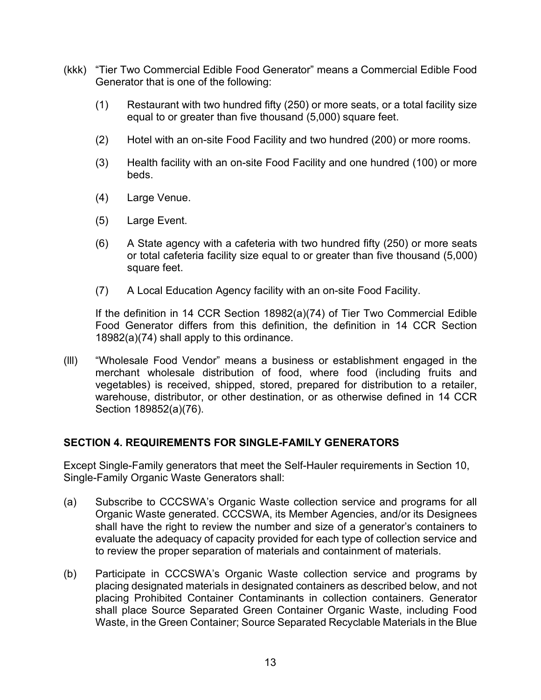- (kkk) "Tier Two Commercial Edible Food Generator" means a Commercial Edible Food Generator that is one of the following:
	- (1) Restaurant with two hundred fifty (250) or more seats, or a total facility size equal to or greater than five thousand (5,000) square feet.
	- (2) Hotel with an on-site Food Facility and two hundred (200) or more rooms.
	- (3) Health facility with an on-site Food Facility and one hundred (100) or more beds.
	- (4) Large Venue.
	- (5) Large Event.
	- (6) A State agency with a cafeteria with two hundred fifty (250) or more seats or total cafeteria facility size equal to or greater than five thousand (5,000) square feet.
	- (7) A Local Education Agency facility with an on-site Food Facility.

If the definition in 14 CCR Section 18982(a)(74) of Tier Two Commercial Edible Food Generator differs from this definition, the definition in 14 CCR Section 18982(a)(74) shall apply to this ordinance.

(lll) "Wholesale Food Vendor" means a business or establishment engaged in the merchant wholesale distribution of food, where food (including fruits and vegetables) is received, shipped, stored, prepared for distribution to a retailer, warehouse, distributor, or other destination, or as otherwise defined in 14 CCR Section 189852(a)(76).

## <span id="page-12-0"></span>**SECTION 4. REQUIREMENTS FOR SINGLE-FAMILY GENERATORS**

Except Single-Family generators that meet the Self-Hauler requirements in Section 10, Single-Family Organic Waste Generators shall:

- (a) Subscribe to CCCSWA's Organic Waste collection service and programs for all Organic Waste generated. CCCSWA, its Member Agencies, and/or its Designees shall have the right to review the number and size of a generator's containers to evaluate the adequacy of capacity provided for each type of collection service and to review the proper separation of materials and containment of materials.
- (b) Participate in CCCSWA's Organic Waste collection service and programs by placing designated materials in designated containers as described below, and not placing Prohibited Container Contaminants in collection containers. Generator shall place Source Separated Green Container Organic Waste, including Food Waste, in the Green Container; Source Separated Recyclable Materials in the Blue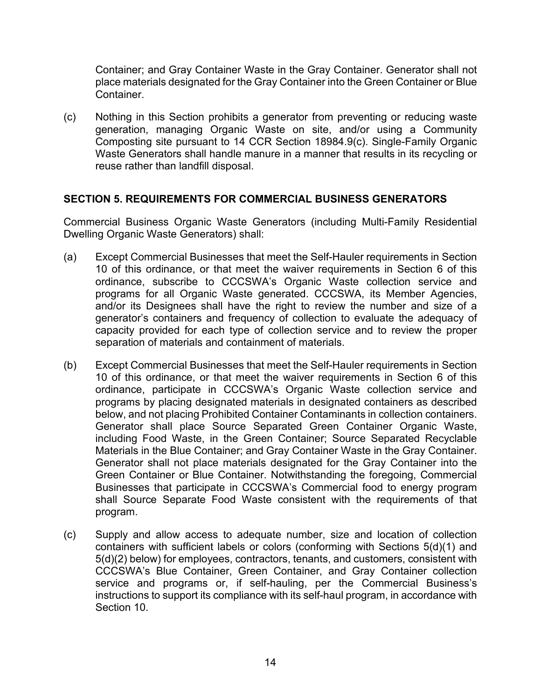Container; and Gray Container Waste in the Gray Container. Generator shall not place materials designated for the Gray Container into the Green Container or Blue **Container** 

(c) Nothing in this Section prohibits a generator from preventing or reducing waste generation, managing Organic Waste on site, and/or using a Community Composting site pursuant to 14 CCR Section 18984.9(c). Single-Family Organic Waste Generators shall handle manure in a manner that results in its recycling or reuse rather than landfill disposal.

## <span id="page-13-0"></span>**SECTION 5. REQUIREMENTS FOR COMMERCIAL BUSINESS GENERATORS**

Commercial Business Organic Waste Generators (including Multi-Family Residential Dwelling Organic Waste Generators) shall:

- (a) Except Commercial Businesses that meet the Self-Hauler requirements in Section 10 of this ordinance, or that meet the waiver requirements in Section 6 of this ordinance, subscribe to CCCSWA's Organic Waste collection service and programs for all Organic Waste generated. CCCSWA, its Member Agencies, and/or its Designees shall have the right to review the number and size of a generator's containers and frequency of collection to evaluate the adequacy of capacity provided for each type of collection service and to review the proper separation of materials and containment of materials.
- (b) Except Commercial Businesses that meet the Self-Hauler requirements in Section 10 of this ordinance, or that meet the waiver requirements in Section 6 of this ordinance, participate in CCCSWA's Organic Waste collection service and programs by placing designated materials in designated containers as described below, and not placing Prohibited Container Contaminants in collection containers. Generator shall place Source Separated Green Container Organic Waste, including Food Waste, in the Green Container; Source Separated Recyclable Materials in the Blue Container; and Gray Container Waste in the Gray Container. Generator shall not place materials designated for the Gray Container into the Green Container or Blue Container. Notwithstanding the foregoing, Commercial Businesses that participate in CCCSWA's Commercial food to energy program shall Source Separate Food Waste consistent with the requirements of that program.
- (c) Supply and allow access to adequate number, size and location of collection containers with sufficient labels or colors (conforming with Sections 5(d)(1) and 5(d)(2) below) for employees, contractors, tenants, and customers, consistent with CCCSWA's Blue Container, Green Container, and Gray Container collection service and programs or, if self-hauling, per the Commercial Business's instructions to support its compliance with its self-haul program, in accordance with Section 10.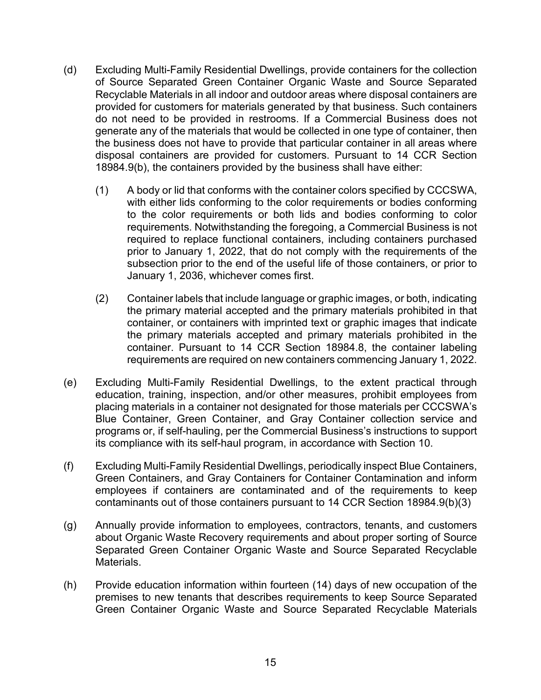- (d) Excluding Multi-Family Residential Dwellings, provide containers for the collection of Source Separated Green Container Organic Waste and Source Separated Recyclable Materials in all indoor and outdoor areas where disposal containers are provided for customers for materials generated by that business. Such containers do not need to be provided in restrooms. If a Commercial Business does not generate any of the materials that would be collected in one type of container, then the business does not have to provide that particular container in all areas where disposal containers are provided for customers. Pursuant to 14 CCR Section 18984.9(b), the containers provided by the business shall have either:
	- (1) A body or lid that conforms with the container colors specified by CCCSWA, with either lids conforming to the color requirements or bodies conforming to the color requirements or both lids and bodies conforming to color requirements. Notwithstanding the foregoing, a Commercial Business is not required to replace functional containers, including containers purchased prior to January 1, 2022, that do not comply with the requirements of the subsection prior to the end of the useful life of those containers, or prior to January 1, 2036, whichever comes first.
	- (2) Container labels that include language or graphic images, or both, indicating the primary material accepted and the primary materials prohibited in that container, or containers with imprinted text or graphic images that indicate the primary materials accepted and primary materials prohibited in the container. Pursuant to 14 CCR Section 18984.8, the container labeling requirements are required on new containers commencing January 1, 2022.
- (e) Excluding Multi-Family Residential Dwellings, to the extent practical through education, training, inspection, and/or other measures, prohibit employees from placing materials in a container not designated for those materials per CCCSWA's Blue Container, Green Container, and Gray Container collection service and programs or, if self-hauling, per the Commercial Business's instructions to support its compliance with its self-haul program, in accordance with Section 10.
- (f) Excluding Multi-Family Residential Dwellings, periodically inspect Blue Containers, Green Containers, and Gray Containers for Container Contamination and inform employees if containers are contaminated and of the requirements to keep contaminants out of those containers pursuant to 14 CCR Section 18984.9(b)(3)
- (g) Annually provide information to employees, contractors, tenants, and customers about Organic Waste Recovery requirements and about proper sorting of Source Separated Green Container Organic Waste and Source Separated Recyclable Materials.
- (h) Provide education information within fourteen (14) days of new occupation of the premises to new tenants that describes requirements to keep Source Separated Green Container Organic Waste and Source Separated Recyclable Materials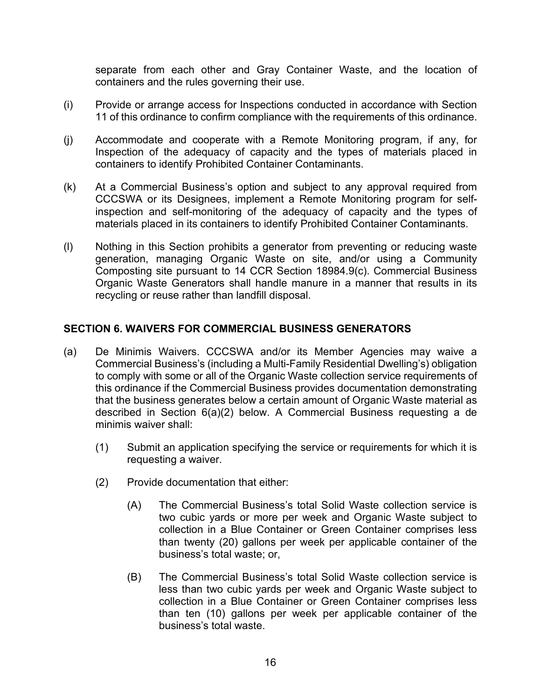separate from each other and Gray Container Waste, and the location of containers and the rules governing their use.

- (i) Provide or arrange access for Inspections conducted in accordance with Section 11 of this ordinance to confirm compliance with the requirements of this ordinance.
- (j) Accommodate and cooperate with a Remote Monitoring program, if any, for Inspection of the adequacy of capacity and the types of materials placed in containers to identify Prohibited Container Contaminants.
- (k) At a Commercial Business's option and subject to any approval required from CCCSWA or its Designees, implement a Remote Monitoring program for selfinspection and self-monitoring of the adequacy of capacity and the types of materials placed in its containers to identify Prohibited Container Contaminants.
- (l) Nothing in this Section prohibits a generator from preventing or reducing waste generation, managing Organic Waste on site, and/or using a Community Composting site pursuant to 14 CCR Section 18984.9(c). Commercial Business Organic Waste Generators shall handle manure in a manner that results in its recycling or reuse rather than landfill disposal.

#### <span id="page-15-0"></span>**SECTION 6. WAIVERS FOR COMMERCIAL BUSINESS GENERATORS**

- (a) De Minimis Waivers. CCCSWA and/or its Member Agencies may waive a Commercial Business's (including a Multi-Family Residential Dwelling's) obligation to comply with some or all of the Organic Waste collection service requirements of this ordinance if the Commercial Business provides documentation demonstrating that the business generates below a certain amount of Organic Waste material as described in Section 6(a)(2) below. A Commercial Business requesting a de minimis waiver shall:
	- (1) Submit an application specifying the service or requirements for which it is requesting a waiver.
	- (2) Provide documentation that either:
		- (A) The Commercial Business's total Solid Waste collection service is two cubic yards or more per week and Organic Waste subject to collection in a Blue Container or Green Container comprises less than twenty (20) gallons per week per applicable container of the business's total waste; or,
		- (B) The Commercial Business's total Solid Waste collection service is less than two cubic yards per week and Organic Waste subject to collection in a Blue Container or Green Container comprises less than ten (10) gallons per week per applicable container of the business's total waste.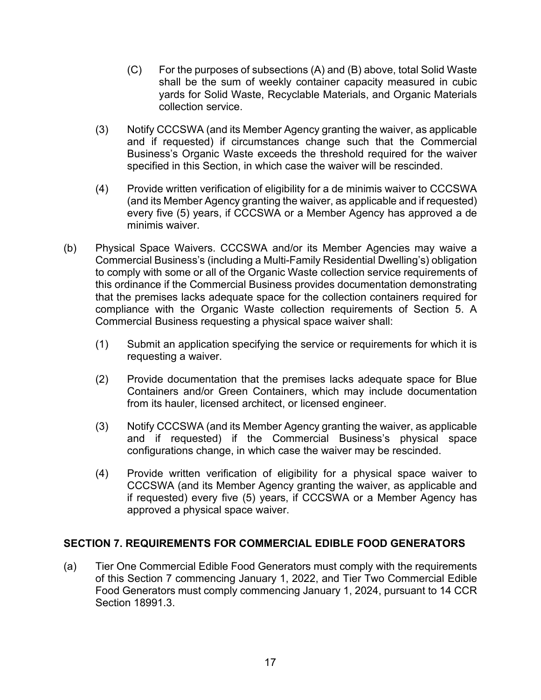- (C) For the purposes of subsections (A) and (B) above, total Solid Waste shall be the sum of weekly container capacity measured in cubic yards for Solid Waste, Recyclable Materials, and Organic Materials collection service.
- (3) Notify CCCSWA (and its Member Agency granting the waiver, as applicable and if requested) if circumstances change such that the Commercial Business's Organic Waste exceeds the threshold required for the waiver specified in this Section, in which case the waiver will be rescinded.
- (4) Provide written verification of eligibility for a de minimis waiver to CCCSWA (and its Member Agency granting the waiver, as applicable and if requested) every five (5) years, if CCCSWA or a Member Agency has approved a de minimis waiver.
- (b) Physical Space Waivers. CCCSWA and/or its Member Agencies may waive a Commercial Business's (including a Multi-Family Residential Dwelling's) obligation to comply with some or all of the Organic Waste collection service requirements of this ordinance if the Commercial Business provides documentation demonstrating that the premises lacks adequate space for the collection containers required for compliance with the Organic Waste collection requirements of Section 5. A Commercial Business requesting a physical space waiver shall:
	- (1) Submit an application specifying the service or requirements for which it is requesting a waiver.
	- (2) Provide documentation that the premises lacks adequate space for Blue Containers and/or Green Containers, which may include documentation from its hauler, licensed architect, or licensed engineer.
	- (3) Notify CCCSWA (and its Member Agency granting the waiver, as applicable and if requested) if the Commercial Business's physical space configurations change, in which case the waiver may be rescinded.
	- (4) Provide written verification of eligibility for a physical space waiver to CCCSWA (and its Member Agency granting the waiver, as applicable and if requested) every five (5) years, if CCCSWA or a Member Agency has approved a physical space waiver.

## <span id="page-16-0"></span>**SECTION 7. REQUIREMENTS FOR COMMERCIAL EDIBLE FOOD GENERATORS**

(a) Tier One Commercial Edible Food Generators must comply with the requirements of this Section 7 commencing January 1, 2022, and Tier Two Commercial Edible Food Generators must comply commencing January 1, 2024, pursuant to 14 CCR Section 18991.3.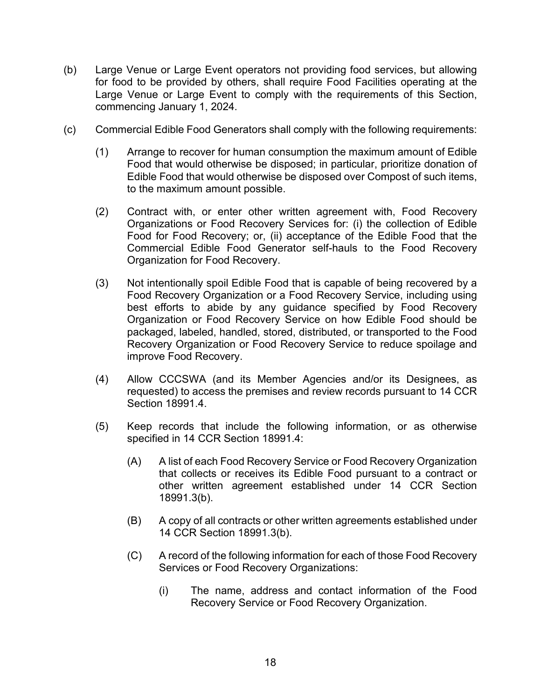- (b) Large Venue or Large Event operators not providing food services, but allowing for food to be provided by others, shall require Food Facilities operating at the Large Venue or Large Event to comply with the requirements of this Section, commencing January 1, 2024.
- (c) Commercial Edible Food Generators shall comply with the following requirements:
	- (1) Arrange to recover for human consumption the maximum amount of Edible Food that would otherwise be disposed; in particular, prioritize donation of Edible Food that would otherwise be disposed over Compost of such items, to the maximum amount possible.
	- (2) Contract with, or enter other written agreement with, Food Recovery Organizations or Food Recovery Services for: (i) the collection of Edible Food for Food Recovery; or, (ii) acceptance of the Edible Food that the Commercial Edible Food Generator self-hauls to the Food Recovery Organization for Food Recovery.
	- (3) Not intentionally spoil Edible Food that is capable of being recovered by a Food Recovery Organization or a Food Recovery Service, including using best efforts to abide by any guidance specified by Food Recovery Organization or Food Recovery Service on how Edible Food should be packaged, labeled, handled, stored, distributed, or transported to the Food Recovery Organization or Food Recovery Service to reduce spoilage and improve Food Recovery.
	- (4) Allow CCCSWA (and its Member Agencies and/or its Designees, as requested) to access the premises and review records pursuant to 14 CCR Section 18991.4.
	- (5) Keep records that include the following information, or as otherwise specified in 14 CCR Section 18991.4:
		- (A) A list of each Food Recovery Service or Food Recovery Organization that collects or receives its Edible Food pursuant to a contract or other written agreement established under 14 CCR Section 18991.3(b).
		- (B) A copy of all contracts or other written agreements established under 14 CCR Section 18991.3(b).
		- (C) A record of the following information for each of those Food Recovery Services or Food Recovery Organizations:
			- (i) The name, address and contact information of the Food Recovery Service or Food Recovery Organization.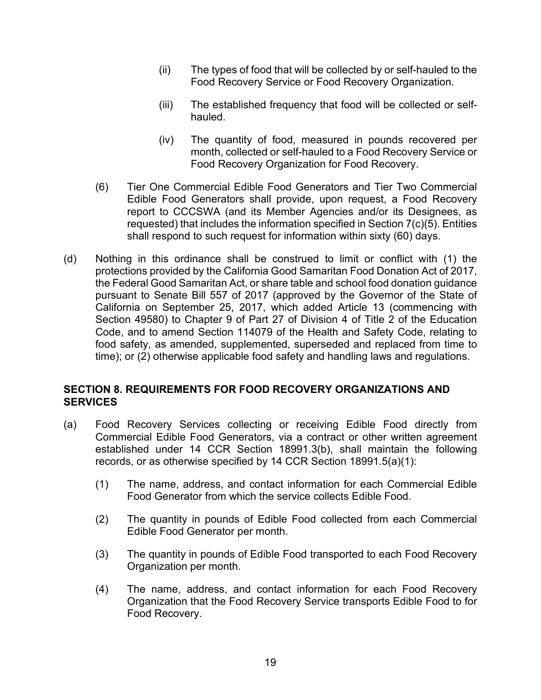- (ii) The types of food that will be collected by or self-hauled to the Food Recovery Service or Food Recovery Organization.
- (iii) The established frequency that food will be collected or selfhauled.
- (iv) The quantity of food, measured in pounds recovered per month, collected or self-hauled to a Food Recovery Service or Food Recovery Organization for Food Recovery.
- (6) Tier One Commercial Edible Food Generators and Tier Two Commercial Edible Food Generators shall provide, upon request, a Food Recovery report to CCCSWA (and its Member Agencies and/or its Designees, as requested) that includes the information specified in Section 7(c)(5). Entities shall respond to such request for information within sixty (60) days.
- (d) Nothing in this ordinance shall be construed to limit or conflict with (1) the protections provided by the California Good Samaritan Food Donation Act of 2017, the Federal Good Samaritan Act, or share table and school food donation guidance pursuant to Senate Bill 557 of 2017 (approved by the Governor of the State of California on September 25, 2017, which added Article 13 (commencing with Section 49580) to Chapter 9 of Part 27 of Division 4 of Title 2 of the Education Code, and to amend Section 114079 of the Health and Safety Code, relating to food safety, as amended, supplemented, superseded and replaced from time to time); or (2) otherwise applicable food safety and handling laws and regulations.

#### <span id="page-18-0"></span>**SECTION 8. REQUIREMENTS FOR FOOD RECOVERY ORGANIZATIONS AND SERVICES**

- (a) Food Recovery Services collecting or receiving Edible Food directly from Commercial Edible Food Generators, via a contract or other written agreement established under 14 CCR Section 18991.3(b), shall maintain the following records, or as otherwise specified by 14 CCR Section 18991.5(a)(1):
	- (1) The name, address, and contact information for each Commercial Edible Food Generator from which the service collects Edible Food.
	- (2) The quantity in pounds of Edible Food collected from each Commercial Edible Food Generator per month.
	- (3) The quantity in pounds of Edible Food transported to each Food Recovery Organization per month.
	- (4) The name, address, and contact information for each Food Recovery Organization that the Food Recovery Service transports Edible Food to for Food Recovery.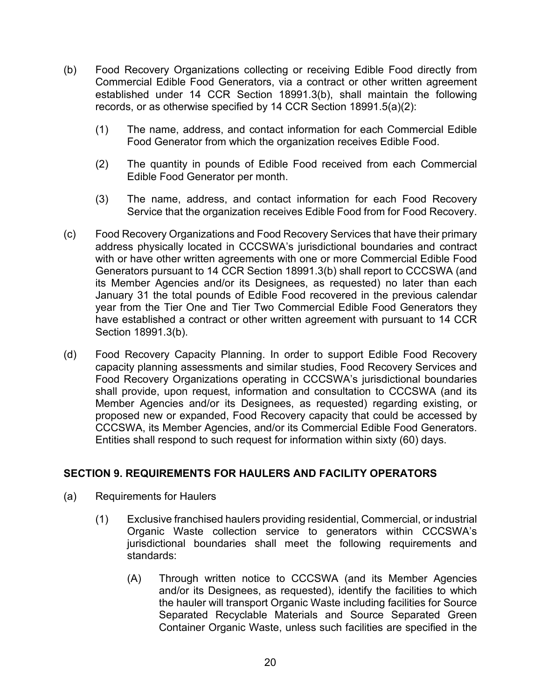- (b) Food Recovery Organizations collecting or receiving Edible Food directly from Commercial Edible Food Generators, via a contract or other written agreement established under 14 CCR Section 18991.3(b), shall maintain the following records, or as otherwise specified by 14 CCR Section 18991.5(a)(2):
	- (1) The name, address, and contact information for each Commercial Edible Food Generator from which the organization receives Edible Food.
	- (2) The quantity in pounds of Edible Food received from each Commercial Edible Food Generator per month.
	- (3) The name, address, and contact information for each Food Recovery Service that the organization receives Edible Food from for Food Recovery.
- (c) Food Recovery Organizations and Food Recovery Services that have their primary address physically located in CCCSWA's jurisdictional boundaries and contract with or have other written agreements with one or more Commercial Edible Food Generators pursuant to 14 CCR Section 18991.3(b) shall report to CCCSWA (and its Member Agencies and/or its Designees, as requested) no later than each January 31 the total pounds of Edible Food recovered in the previous calendar year from the Tier One and Tier Two Commercial Edible Food Generators they have established a contract or other written agreement with pursuant to 14 CCR Section 18991.3(b).
- (d) Food Recovery Capacity Planning. In order to support Edible Food Recovery capacity planning assessments and similar studies, Food Recovery Services and Food Recovery Organizations operating in CCCSWA's jurisdictional boundaries shall provide, upon request, information and consultation to CCCSWA (and its Member Agencies and/or its Designees, as requested) regarding existing, or proposed new or expanded, Food Recovery capacity that could be accessed by CCCSWA, its Member Agencies, and/or its Commercial Edible Food Generators. Entities shall respond to such request for information within sixty (60) days.

## <span id="page-19-0"></span>**SECTION 9. REQUIREMENTS FOR HAULERS AND FACILITY OPERATORS**

- (a) Requirements for Haulers
	- (1) Exclusive franchised haulers providing residential, Commercial, or industrial Organic Waste collection service to generators within CCCSWA's jurisdictional boundaries shall meet the following requirements and standards:
		- (A) Through written notice to CCCSWA (and its Member Agencies and/or its Designees, as requested), identify the facilities to which the hauler will transport Organic Waste including facilities for Source Separated Recyclable Materials and Source Separated Green Container Organic Waste, unless such facilities are specified in the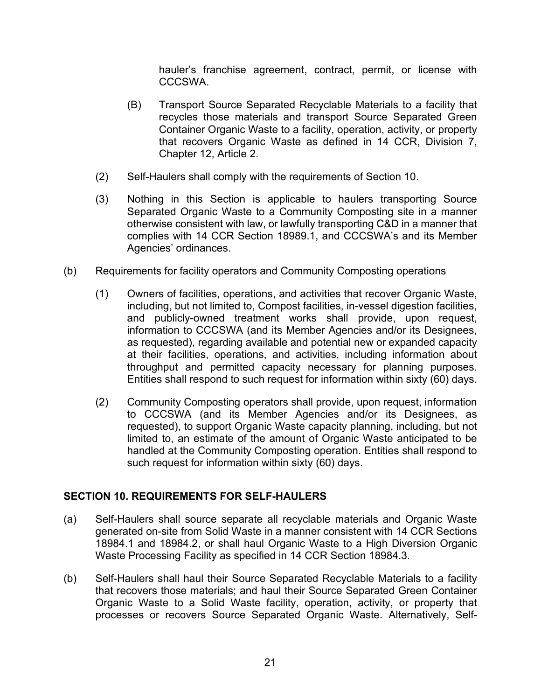hauler's franchise agreement, contract, permit, or license with CCCSWA.

- (B) Transport Source Separated Recyclable Materials to a facility that recycles those materials and transport Source Separated Green Container Organic Waste to a facility, operation, activity, or property that recovers Organic Waste as defined in 14 CCR, Division 7, Chapter 12, Article 2.
- (2) Self-Haulers shall comply with the requirements of Section 10.
- (3) Nothing in this Section is applicable to haulers transporting Source Separated Organic Waste to a Community Composting site in a manner otherwise consistent with law, or lawfully transporting C&D in a manner that complies with 14 CCR Section 18989.1, and CCCSWA's and its Member Agencies' ordinances.
- (b) Requirements for facility operators and Community Composting operations
	- (1) Owners of facilities, operations, and activities that recover Organic Waste, including, but not limited to, Compost facilities, in-vessel digestion facilities, and publicly-owned treatment works shall provide, upon request, information to CCCSWA (and its Member Agencies and/or its Designees, as requested), regarding available and potential new or expanded capacity at their facilities, operations, and activities, including information about throughput and permitted capacity necessary for planning purposes. Entities shall respond to such request for information within sixty (60) days.
	- (2) Community Composting operators shall provide, upon request, information to CCCSWA (and its Member Agencies and/or its Designees, as requested), to support Organic Waste capacity planning, including, but not limited to, an estimate of the amount of Organic Waste anticipated to be handled at the Community Composting operation. Entities shall respond to such request for information within sixty (60) days.

## <span id="page-20-0"></span>**SECTION 10. REQUIREMENTS FOR SELF-HAULERS**

- (a) Self-Haulers shall source separate all recyclable materials and Organic Waste generated on-site from Solid Waste in a manner consistent with 14 CCR Sections 18984.1 and 18984.2, or shall haul Organic Waste to a High Diversion Organic Waste Processing Facility as specified in 14 CCR Section 18984.3.
- (b) Self-Haulers shall haul their Source Separated Recyclable Materials to a facility that recovers those materials; and haul their Source Separated Green Container Organic Waste to a Solid Waste facility, operation, activity, or property that processes or recovers Source Separated Organic Waste. Alternatively, Self-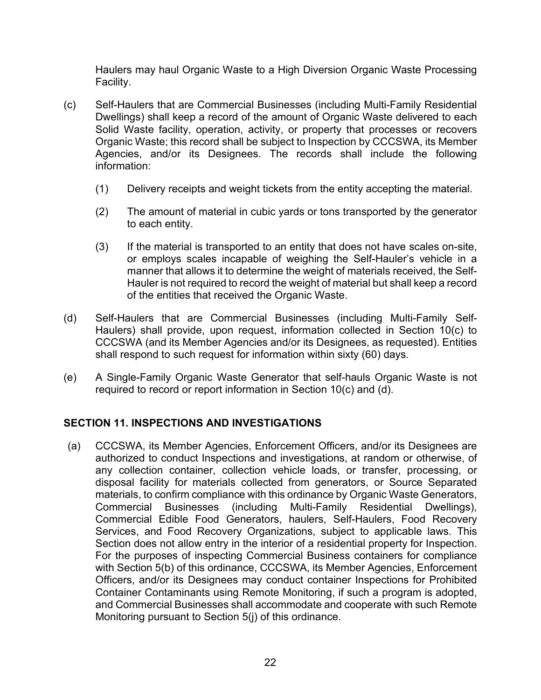Haulers may haul Organic Waste to a High Diversion Organic Waste Processing Facility.

- (c) Self-Haulers that are Commercial Businesses (including Multi-Family Residential Dwellings) shall keep a record of the amount of Organic Waste delivered to each Solid Waste facility, operation, activity, or property that processes or recovers Organic Waste; this record shall be subject to Inspection by CCCSWA, its Member Agencies, and/or its Designees. The records shall include the following information:
	- (1) Delivery receipts and weight tickets from the entity accepting the material.
	- (2) The amount of material in cubic yards or tons transported by the generator to each entity.
	- (3) If the material is transported to an entity that does not have scales on-site, or employs scales incapable of weighing the Self-Hauler's vehicle in a manner that allows it to determine the weight of materials received, the Self-Hauler is not required to record the weight of material but shall keep a record of the entities that received the Organic Waste.
- (d) Self-Haulers that are Commercial Businesses (including Multi-Family Self-Haulers) shall provide, upon request, information collected in Section 10(c) to CCCSWA (and its Member Agencies and/or its Designees, as requested). Entities shall respond to such request for information within sixty (60) days.
- (e) A Single-Family Organic Waste Generator that self-hauls Organic Waste is not required to record or report information in Section 10(c) and (d).

## <span id="page-21-0"></span>**SECTION 11. INSPECTIONS AND INVESTIGATIONS**

(a) CCCSWA, its Member Agencies, Enforcement Officers, and/or its Designees are authorized to conduct Inspections and investigations, at random or otherwise, of any collection container, collection vehicle loads, or transfer, processing, or disposal facility for materials collected from generators, or Source Separated materials, to confirm compliance with this ordinance by Organic Waste Generators,<br>Commercial Businesses (including Multi-Family Residential Dwellings), Commercial Businesses (including Multi-Family Residential Dwellings), Commercial Edible Food Generators, haulers, Self-Haulers, Food Recovery Services, and Food Recovery Organizations, subject to applicable laws. This Section does not allow entry in the interior of a residential property for Inspection. For the purposes of inspecting Commercial Business containers for compliance with Section 5(b) of this ordinance, CCCSWA, its Member Agencies, Enforcement Officers, and/or its Designees may conduct container Inspections for Prohibited Container Contaminants using Remote Monitoring, if such a program is adopted, and Commercial Businesses shall accommodate and cooperate with such Remote Monitoring pursuant to Section 5(j) of this ordinance.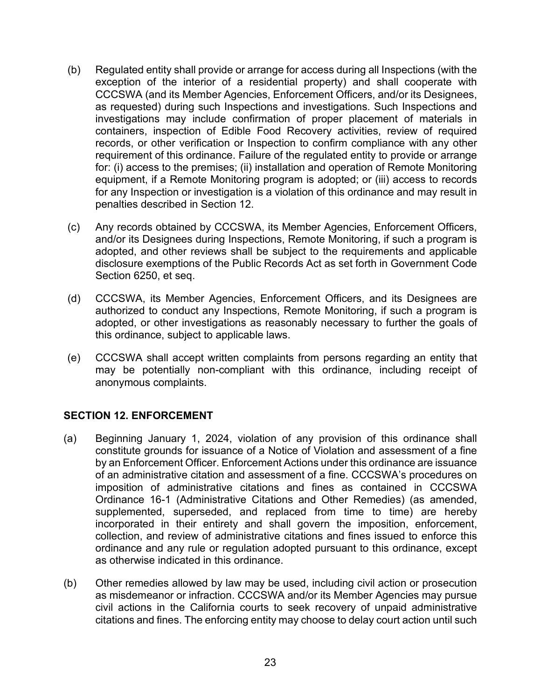- (b) Regulated entity shall provide or arrange for access during all Inspections (with the exception of the interior of a residential property) and shall cooperate with CCCSWA (and its Member Agencies, Enforcement Officers, and/or its Designees, as requested) during such Inspections and investigations. Such Inspections and investigations may include confirmation of proper placement of materials in containers, inspection of Edible Food Recovery activities, review of required records, or other verification or Inspection to confirm compliance with any other requirement of this ordinance. Failure of the regulated entity to provide or arrange for: (i) access to the premises; (ii) installation and operation of Remote Monitoring equipment, if a Remote Monitoring program is adopted; or (iii) access to records for any Inspection or investigation is a violation of this ordinance and may result in penalties described in Section 12.
- (c) Any records obtained by CCCSWA, its Member Agencies, Enforcement Officers, and/or its Designees during Inspections, Remote Monitoring, if such a program is adopted, and other reviews shall be subject to the requirements and applicable disclosure exemptions of the Public Records Act as set forth in Government Code Section 6250, et seq.
- (d) CCCSWA, its Member Agencies, Enforcement Officers, and its Designees are authorized to conduct any Inspections, Remote Monitoring, if such a program is adopted, or other investigations as reasonably necessary to further the goals of this ordinance, subject to applicable laws.
- (e) CCCSWA shall accept written complaints from persons regarding an entity that may be potentially non-compliant with this ordinance, including receipt of anonymous complaints.

#### <span id="page-22-0"></span>**SECTION 12. ENFORCEMENT**

- (a) Beginning January 1, 2024, violation of any provision of this ordinance shall constitute grounds for issuance of a Notice of Violation and assessment of a fine by an Enforcement Officer. Enforcement Actions under this ordinance are issuance of an administrative citation and assessment of a fine. CCCSWA's procedures on imposition of administrative citations and fines as contained in CCCSWA Ordinance 16-1 (Administrative Citations and Other Remedies) (as amended, supplemented, superseded, and replaced from time to time) are hereby incorporated in their entirety and shall govern the imposition, enforcement, collection, and review of administrative citations and fines issued to enforce this ordinance and any rule or regulation adopted pursuant to this ordinance, except as otherwise indicated in this ordinance.
- (b) Other remedies allowed by law may be used, including civil action or prosecution as misdemeanor or infraction. CCCSWA and/or its Member Agencies may pursue civil actions in the California courts to seek recovery of unpaid administrative citations and fines. The enforcing entity may choose to delay court action until such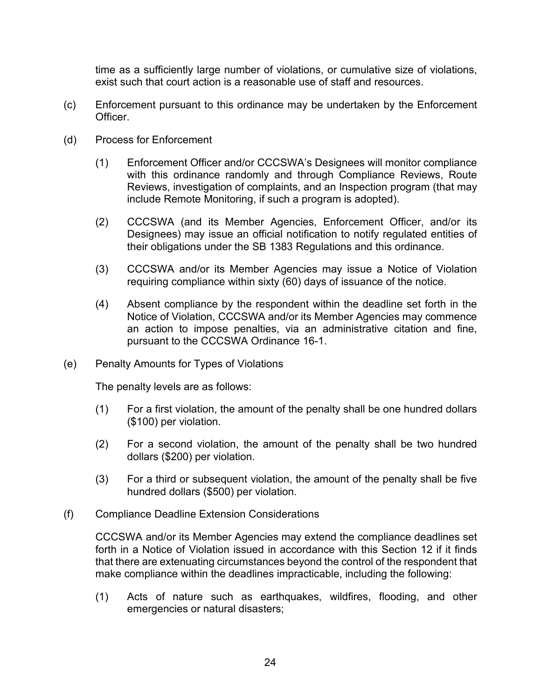time as a sufficiently large number of violations, or cumulative size of violations, exist such that court action is a reasonable use of staff and resources.

- (c) Enforcement pursuant to this ordinance may be undertaken by the Enforcement Officer.
- (d) Process for Enforcement
	- (1) Enforcement Officer and/or CCCSWA's Designees will monitor compliance with this ordinance randomly and through Compliance Reviews, Route Reviews, investigation of complaints, and an Inspection program (that may include Remote Monitoring, if such a program is adopted).
	- (2) CCCSWA (and its Member Agencies, Enforcement Officer, and/or its Designees) may issue an official notification to notify regulated entities of their obligations under the SB 1383 Regulations and this ordinance.
	- (3) CCCSWA and/or its Member Agencies may issue a Notice of Violation requiring compliance within sixty (60) days of issuance of the notice.
	- (4) Absent compliance by the respondent within the deadline set forth in the Notice of Violation, CCCSWA and/or its Member Agencies may commence an action to impose penalties, via an administrative citation and fine, pursuant to the CCCSWA Ordinance 16-1.
- (e) Penalty Amounts for Types of Violations

The penalty levels are as follows:

- (1) For a first violation, the amount of the penalty shall be one hundred dollars (\$100) per violation.
- (2) For a second violation, the amount of the penalty shall be two hundred dollars (\$200) per violation.
- (3) For a third or subsequent violation, the amount of the penalty shall be five hundred dollars (\$500) per violation.
- (f) Compliance Deadline Extension Considerations

CCCSWA and/or its Member Agencies may extend the compliance deadlines set forth in a Notice of Violation issued in accordance with this Section 12 if it finds that there are extenuating circumstances beyond the control of the respondent that make compliance within the deadlines impracticable, including the following:

(1) Acts of nature such as earthquakes, wildfires, flooding, and other emergencies or natural disasters;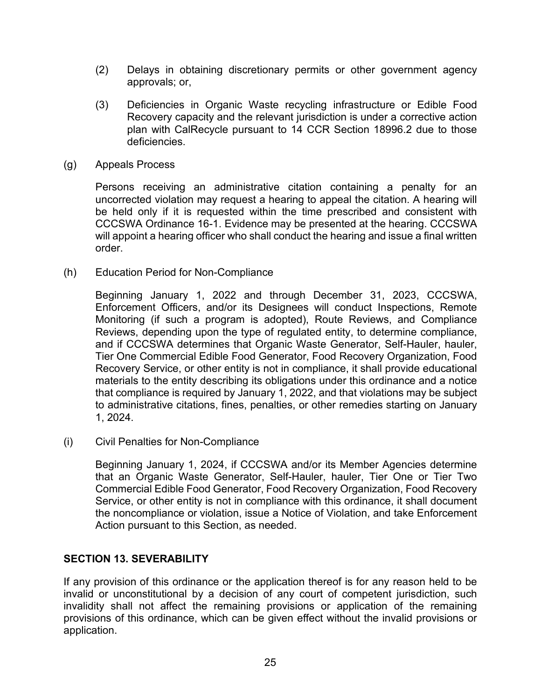- (2) Delays in obtaining discretionary permits or other government agency approvals; or,
- (3) Deficiencies in Organic Waste recycling infrastructure or Edible Food Recovery capacity and the relevant jurisdiction is under a corrective action plan with CalRecycle pursuant to 14 CCR Section 18996.2 due to those deficiencies.
- (g) Appeals Process

Persons receiving an administrative citation containing a penalty for an uncorrected violation may request a hearing to appeal the citation. A hearing will be held only if it is requested within the time prescribed and consistent with CCCSWA Ordinance 16-1. Evidence may be presented at the hearing. CCCSWA will appoint a hearing officer who shall conduct the hearing and issue a final written order.

(h) Education Period for Non-Compliance

Beginning January 1, 2022 and through December 31, 2023, CCCSWA, Enforcement Officers, and/or its Designees will conduct Inspections, Remote Monitoring (if such a program is adopted), Route Reviews, and Compliance Reviews, depending upon the type of regulated entity, to determine compliance, and if CCCSWA determines that Organic Waste Generator, Self-Hauler, hauler, Tier One Commercial Edible Food Generator, Food Recovery Organization, Food Recovery Service, or other entity is not in compliance, it shall provide educational materials to the entity describing its obligations under this ordinance and a notice that compliance is required by January 1, 2022, and that violations may be subject to administrative citations, fines, penalties, or other remedies starting on January 1, 2024.

(i) Civil Penalties for Non-Compliance

Beginning January 1, 2024, if CCCSWA and/or its Member Agencies determine that an Organic Waste Generator, Self-Hauler, hauler, Tier One or Tier Two Commercial Edible Food Generator, Food Recovery Organization, Food Recovery Service, or other entity is not in compliance with this ordinance, it shall document the noncompliance or violation, issue a Notice of Violation, and take Enforcement Action pursuant to this Section, as needed.

#### <span id="page-24-0"></span>**SECTION 13. SEVERABILITY**

If any provision of this ordinance or the application thereof is for any reason held to be invalid or unconstitutional by a decision of any court of competent jurisdiction, such invalidity shall not affect the remaining provisions or application of the remaining provisions of this ordinance, which can be given effect without the invalid provisions or application.